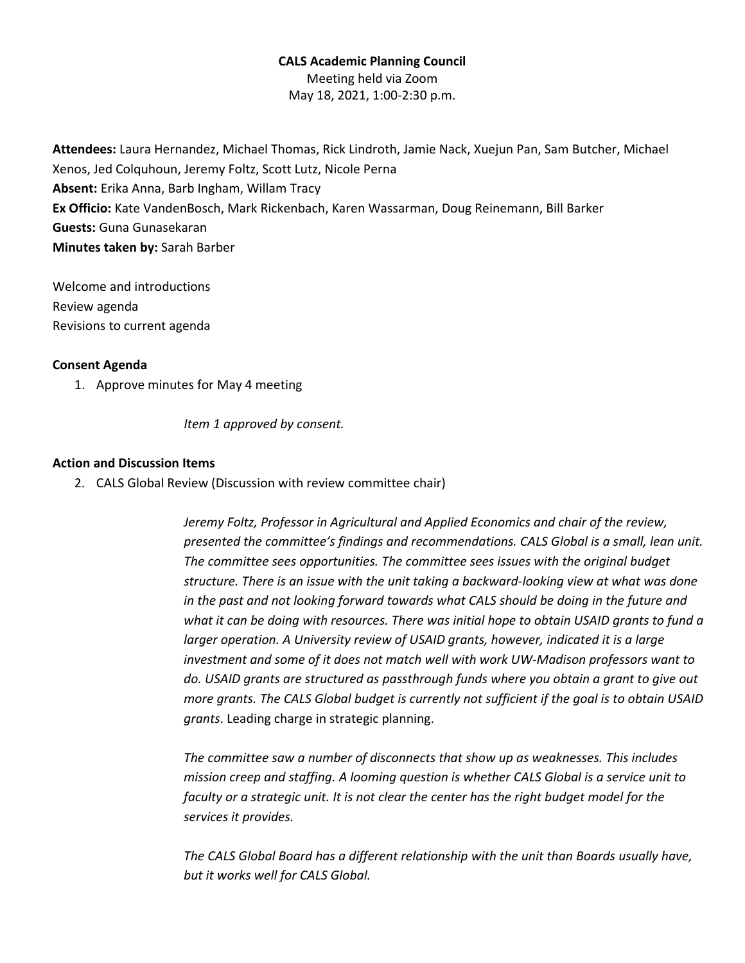## **CALS Academic Planning Council**

Meeting held via Zoom May 18, 2021, 1:00-2:30 p.m.

**Attendees:** Laura Hernandez, Michael Thomas, Rick Lindroth, Jamie Nack, Xuejun Pan, Sam Butcher, Michael Xenos, Jed Colquhoun, Jeremy Foltz, Scott Lutz, Nicole Perna **Absent:** Erika Anna, Barb Ingham, Willam Tracy **Ex Officio:** Kate VandenBosch, Mark Rickenbach, Karen Wassarman, Doug Reinemann, Bill Barker **Guests:** Guna Gunasekaran **Minutes taken by:** Sarah Barber

Welcome and introductions Review agenda Revisions to current agenda

## **Consent Agenda**

1. Approve minutes for May 4 meeting

*Item 1 approved by consent.*

#### **Action and Discussion Items**

2. CALS Global Review (Discussion with review committee chair)

*Jeremy Foltz, Professor in Agricultural and Applied Economics and chair of the review, presented the committee's findings and recommendations. CALS Global is a small, lean unit. The committee sees opportunities. The committee sees issues with the original budget structure. There is an issue with the unit taking a backward-looking view at what was done in the past and not looking forward towards what CALS should be doing in the future and what it can be doing with resources. There was initial hope to obtain USAID grants to fund a larger operation. A University review of USAID grants, however, indicated it is a large investment and some of it does not match well with work UW-Madison professors want to do. USAID grants are structured as passthrough funds where you obtain a grant to give out more grants. The CALS Global budget is currently not sufficient if the goal is to obtain USAID grants*. Leading charge in strategic planning.

*The committee saw a number of disconnects that show up as weaknesses. This includes mission creep and staffing. A looming question is whether CALS Global is a service unit to faculty or a strategic unit. It is not clear the center has the right budget model for the services it provides.*

*The CALS Global Board has a different relationship with the unit than Boards usually have, but it works well for CALS Global.*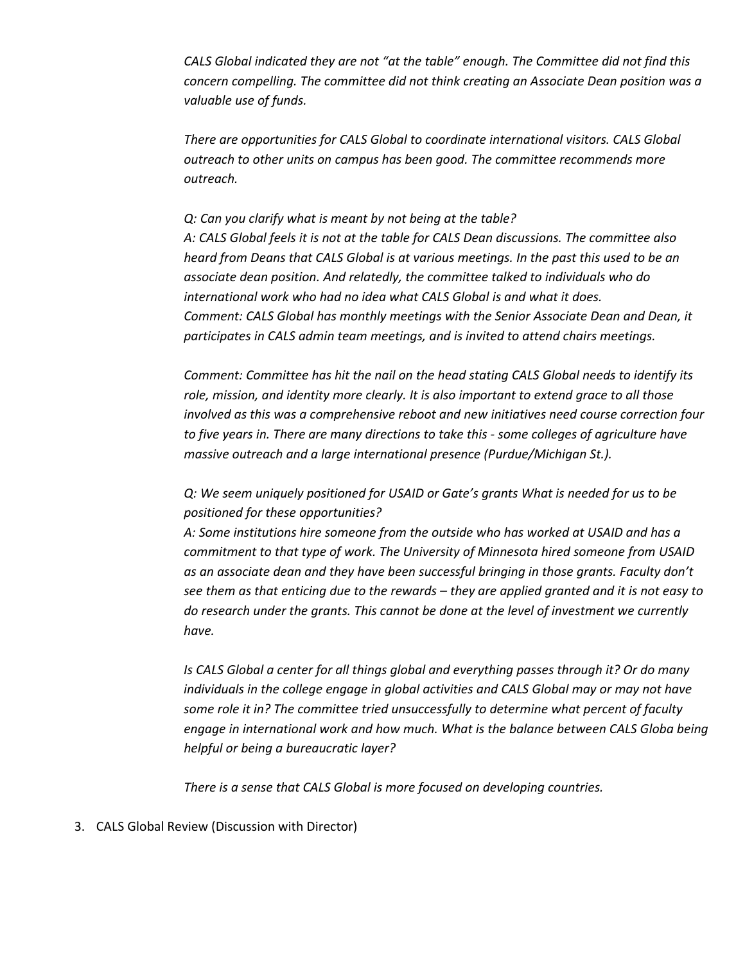*CALS Global indicated they are not "at the table" enough. The Committee did not find this concern compelling. The committee did not think creating an Associate Dean position was a valuable use of funds.*

*There are opportunities for CALS Global to coordinate international visitors. CALS Global outreach to other units on campus has been good. The committee recommends more outreach.* 

*Q: Can you clarify what is meant by not being at the table? A: CALS Global feels it is not at the table for CALS Dean discussions. The committee also heard from Deans that CALS Global is at various meetings. In the past this used to be an associate dean position. And relatedly, the committee talked to individuals who do international work who had no idea what CALS Global is and what it does. Comment: CALS Global has monthly meetings with the Senior Associate Dean and Dean, it participates in CALS admin team meetings, and is invited to attend chairs meetings.*

*Comment: Committee has hit the nail on the head stating CALS Global needs to identify its role, mission, and identity more clearly. It is also important to extend grace to all those involved as this was a comprehensive reboot and new initiatives need course correction four to five years in. There are many directions to take this - some colleges of agriculture have massive outreach and a large international presence (Purdue/Michigan St.).* 

*Q: We seem uniquely positioned for USAID or Gate's grants What is needed for us to be positioned for these opportunities?*

*A: Some institutions hire someone from the outside who has worked at USAID and has a commitment to that type of work. The University of Minnesota hired someone from USAID as an associate dean and they have been successful bringing in those grants. Faculty don't see them as that enticing due to the rewards – they are applied granted and it is not easy to do research under the grants. This cannot be done at the level of investment we currently have.*

*Is CALS Global a center for all things global and everything passes through it? Or do many individuals in the college engage in global activities and CALS Global may or may not have some role it in? The committee tried unsuccessfully to determine what percent of faculty engage in international work and how much. What is the balance between CALS Globa being helpful or being a bureaucratic layer?* 

*There is a sense that CALS Global is more focused on developing countries.*

3. CALS Global Review (Discussion with Director)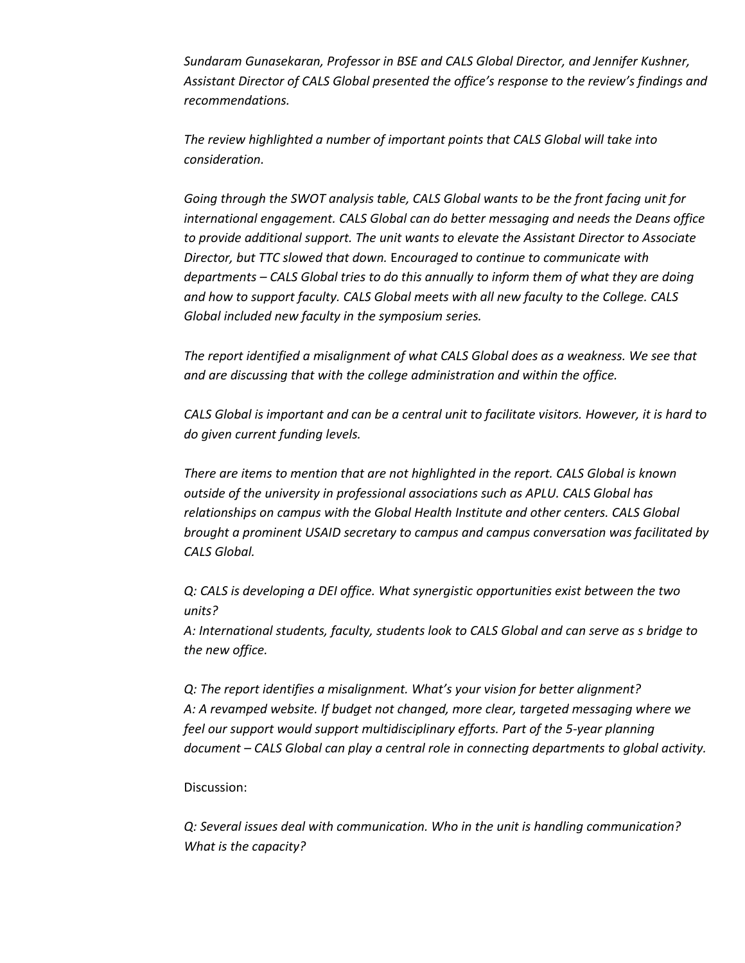*Sundaram Gunasekaran, Professor in BSE and CALS Global Director, and Jennifer Kushner, Assistant Director of CALS Global presented the office's response to the review's findings and recommendations.*

*The review highlighted a number of important points that CALS Global will take into consideration.* 

*Going through the SWOT analysis table, CALS Global wants to be the front facing unit for international engagement. CALS Global can do better messaging and needs the Deans office to provide additional support. The unit wants to elevate the Assistant Director to Associate Director, but TTC slowed that down.* E*ncouraged to continue to communicate with departments – CALS Global tries to do this annually to inform them of what they are doing and how to support faculty. CALS Global meets with all new faculty to the College. CALS Global included new faculty in the symposium series.* 

*The report identified a misalignment of what CALS Global does as a weakness. We see that and are discussing that with the college administration and within the office.* 

*CALS Global is important and can be a central unit to facilitate visitors. However, it is hard to do given current funding levels.*

*There are items to mention that are not highlighted in the report. CALS Global is known outside of the university in professional associations such as APLU. CALS Global has relationships on campus with the Global Health Institute and other centers. CALS Global brought a prominent USAID secretary to campus and campus conversation was facilitated by CALS Global.* 

*Q: CALS is developing a DEI office. What synergistic opportunities exist between the two units?* 

*A: International students, faculty, students look to CALS Global and can serve as s bridge to the new office.*

*Q: The report identifies a misalignment. What's your vision for better alignment? A: A revamped website. If budget not changed, more clear, targeted messaging where we feel our support would support multidisciplinary efforts. Part of the 5-year planning document – CALS Global can play a central role in connecting departments to global activity.*

# Discussion:

*Q: Several issues deal with communication. Who in the unit is handling communication? What is the capacity?*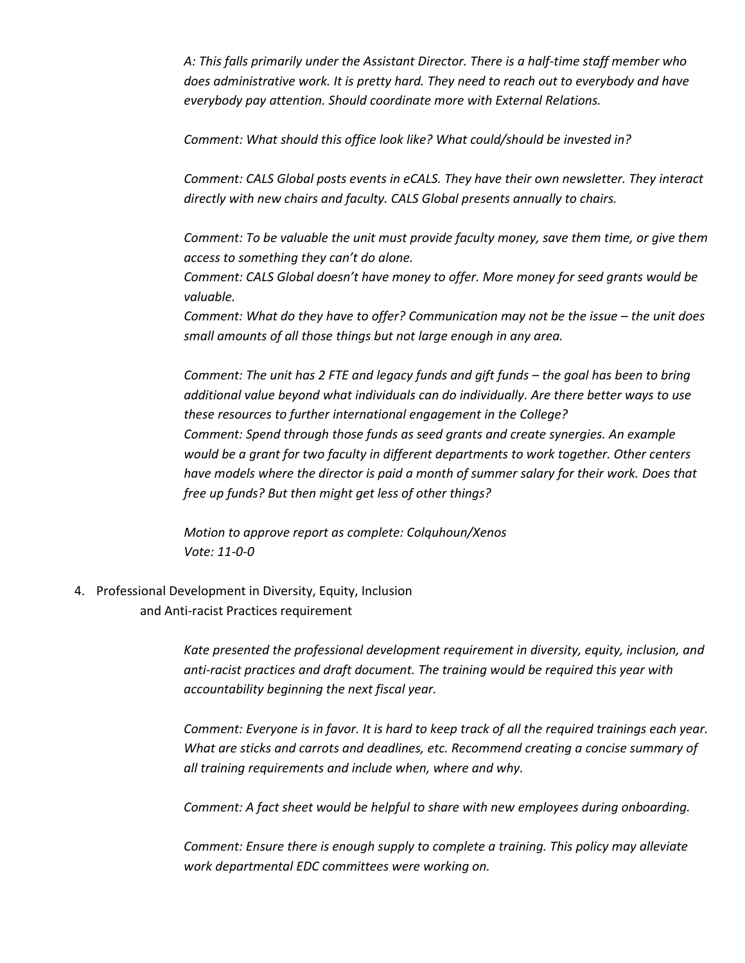*A: This falls primarily under the Assistant Director. There is a half-time staff member who does administrative work. It is pretty hard. They need to reach out to everybody and have everybody pay attention. Should coordinate more with External Relations.*

*Comment: What should this office look like? What could/should be invested in?*

*Comment: CALS Global posts events in eCALS. They have their own newsletter. They interact directly with new chairs and faculty. CALS Global presents annually to chairs.*

*Comment: To be valuable the unit must provide faculty money, save them time, or give them access to something they can't do alone.*

*Comment: CALS Global doesn't have money to offer. More money for seed grants would be valuable.* 

*Comment: What do they have to offer? Communication may not be the issue – the unit does small amounts of all those things but not large enough in any area.*

*Comment: The unit has 2 FTE and legacy funds and gift funds – the goal has been to bring additional value beyond what individuals can do individually. Are there better ways to use these resources to further international engagement in the College? Comment: Spend through those funds as seed grants and create synergies. An example would be a grant for two faculty in different departments to work together. Other centers have models where the director is paid a month of summer salary for their work. Does that free up funds? But then might get less of other things?* 

*Motion to approve report as complete: Colquhoun/Xenos Vote: 11-0-0*

4. Professional Development in Diversity, Equity, Inclusion and Anti-racist Practices requirement

> *Kate presented the professional development requirement in diversity, equity, inclusion, and anti-racist practices and draft document. The training would be required this year with accountability beginning the next fiscal year.*

> *Comment: Everyone is in favor. It is hard to keep track of all the required trainings each year. What are sticks and carrots and deadlines, etc. Recommend creating a concise summary of all training requirements and include when, where and why.*

*Comment: A fact sheet would be helpful to share with new employees during onboarding.*

*Comment: Ensure there is enough supply to complete a training. This policy may alleviate work departmental EDC committees were working on.*